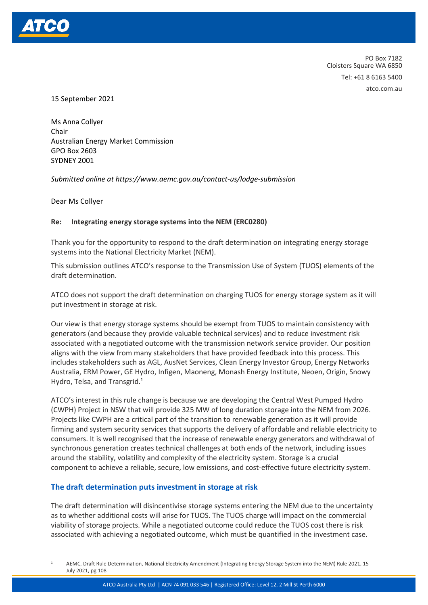

PO Box 7182 Cloisters Square WA 6850 Tel: +61 8 6163 5400 atco.com.au

15 September 2021

Ms Anna Collyer Chair Australian Energy Market Commission GPO Box 2603 SYDNEY 2001

*Submitted online at https://www.aemc.gov.au/contact-us/lodge-submission*

Dear Ms Collyer

#### **Re: Integrating energy storage systems into the NEM (ERC0280)**

Thank you for the opportunity to respond to the draft determination on integrating energy storage systems into the National Electricity Market (NEM).

This submission outlines ATCO's response to the Transmission Use of System (TUOS) elements of the draft determination.

ATCO does not support the draft determination on charging TUOS for energy storage system as it will put investment in storage at risk.

Our view is that energy storage systems should be exempt from TUOS to maintain consistency with generators (and because they provide valuable technical services) and to reduce investment risk associated with a negotiated outcome with the transmission network service provider. Our position aligns with the view from many stakeholders that have provided feedback into this process. This includes stakeholders such as AGL, AusNet Services, Clean Energy Investor Group, Energy Networks Australia, ERM Power, GE Hydro, Infigen, Maoneng, Monash Energy Institute, Neoen, Origin, Snowy Hydro, Telsa, and Transgrid.<sup>1</sup>

ATCO's interest in this rule change is because we are developing the Central West Pumped Hydro (CWPH) Project in NSW that will provide 325 MW of long duration storage into the NEM from 2026. Projects like CWPH are a critical part of the transition to renewable generation as it will provide firming and system security services that supports the delivery of affordable and reliable electricity to consumers. It is well recognised that the increase of renewable energy generators and withdrawal of synchronous generation creates technical challenges at both ends of the network, including issues around the stability, volatility and complexity of the electricity system. Storage is a crucial component to achieve a reliable, secure, low emissions, and cost-effective future electricity system.

#### **The draft determination puts investment in storage at risk**

The draft determination will disincentivise storage systems entering the NEM due to the uncertainty as to whether additional costs will arise for TUOS. The TUOS charge will impact on the commercial viability of storage projects. While a negotiated outcome could reduce the TUOS cost there is risk associated with achieving a negotiated outcome, which must be quantified in the investment case.

<sup>1</sup> AEMC, Draft Rule Determination, National Electricity Amendment (Integrating Energy Storage System into the NEM) Rule 2021, 15 July 2021, pg 108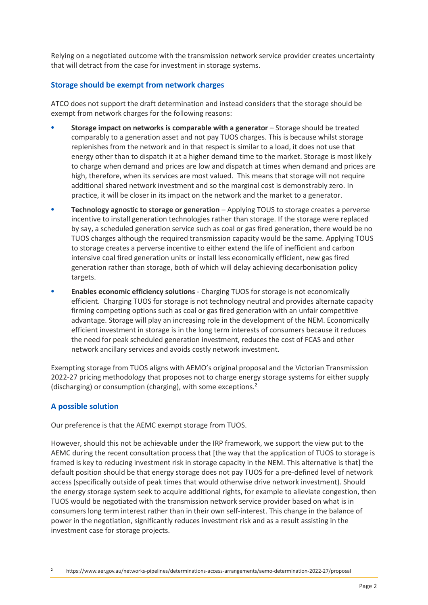Relying on a negotiated outcome with the transmission network service provider creates uncertainty that will detract from the case for investment in storage systems.

## **Storage should be exempt from network charges**

ATCO does not support the draft determination and instead considers that the storage should be exempt from network charges for the following reasons:

- **Storage impact on networks is comparable with a generator** Storage should be treated comparably to a generation asset and not pay TUOS charges. This is because whilst storage replenishes from the network and in that respect is similar to a load, it does not use that energy other than to dispatch it at a higher demand time to the market. Storage is most likely to charge when demand and prices are low and dispatch at times when demand and prices are high, therefore, when its services are most valued. This means that storage will not require additional shared network investment and so the marginal cost is demonstrably zero. In practice, it will be closer in its impact on the network and the market to a generator.
- **Technology agnostic to storage or generation** Applying TOUS to storage creates a perverse incentive to install generation technologies rather than storage. If the storage were replaced by say, a scheduled generation service such as coal or gas fired generation, there would be no TUOS charges although the required transmission capacity would be the same. Applying TOUS to storage creates a perverse incentive to either extend the life of inefficient and carbon intensive coal fired generation units or install less economically efficient, new gas fired generation rather than storage, both of which will delay achieving decarbonisation policy targets.
- **Enables economic efficiency solutions** Charging TUOS for storage is not economically efficient. Charging TUOS for storage is not technology neutral and provides alternate capacity firming competing options such as coal or gas fired generation with an unfair competitive advantage. Storage will play an increasing role in the development of the NEM. Economically efficient investment in storage is in the long term interests of consumers because it reduces the need for peak scheduled generation investment, reduces the cost of FCAS and other network ancillary services and avoids costly network investment.

Exempting storage from TUOS aligns with AEMO's original proposal and the Victorian Transmission 2022-27 pricing methodology that proposes not to charge energy storage systems for either supply (discharging) or consumption (charging), with some exceptions.<sup>2</sup>

## **A possible solution**

Our preference is that the AEMC exempt storage from TUOS.

However, should this not be achievable under the IRP framework, we support the view put to the AEMC during the recent consultation process that [the way that the application of TUOS to storage is framed is key to reducing investment risk in storage capacity in the NEM. This alternative is that] the default position should be that energy storage does not pay TUOS for a pre-defined level of network access (specifically outside of peak times that would otherwise drive network investment). Should the energy storage system seek to acquire additional rights, for example to alleviate congestion, then TUOS would be negotiated with the transmission network service provider based on what is in consumers long term interest rather than in their own self-interest. This change in the balance of power in the negotiation, significantly reduces investment risk and as a result assisting in the investment case for storage projects.

<sup>2</sup> https://www.aer.gov.au/networks-pipelines/determinations-access-arrangements/aemo-determination-2022-27/proposal